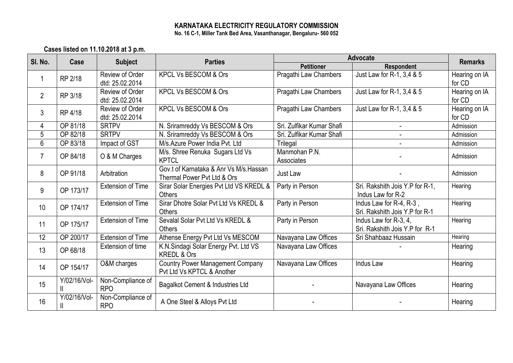## **KARNATAKA ELECTRICITY REGULATORY COMMISSION No. 16 C-1, Miller Tank Bed Area, Vasanthanagar, Bengaluru- 560 052**

**Cases listed on 11.10.2018 at 3 p.m.**

| SI. No.        | Case         | <b>Subject</b>                     | <b>Parties</b>                                                         | Advocate                    |                                                           | <b>Remarks</b>          |
|----------------|--------------|------------------------------------|------------------------------------------------------------------------|-----------------------------|-----------------------------------------------------------|-------------------------|
|                |              |                                    |                                                                        | <b>Petitioner</b>           | <b>Respondent</b>                                         |                         |
|                | RP 2/18      | Review of Order<br>dtd: 25.02.2014 | <b>KPCL Vs BESCOM &amp; Ors</b>                                        | Pragathi Law Chambers       | Just Law for R-1, 3,4 & 5                                 | Hearing on IA<br>for CD |
| $\overline{2}$ | RP 3/18      | Review of Order<br>dtd: 25.02.2014 | <b>KPCL Vs BESCOM &amp; Ors</b>                                        | Pragathi Law Chambers       | Just Law for R-1, 3,4 & 5                                 | Hearing on IA<br>for CD |
| 3              | RP 4/18      | Review of Order<br>dtd: 25.02.2014 | <b>KPCL Vs BESCOM &amp; Ors</b>                                        | Pragathi Law Chambers       | Just Law for R-1, 3,4 & 5                                 | Hearing on IA<br>for CD |
| 4              | OP 81/18     | <b>SRTPV</b>                       | N. Sriramreddy Vs BESCOM & Ors                                         | Sri. Zulfikar Kumar Shafi   |                                                           | Admission               |
| 5              | OP 82/18     | <b>SRTPV</b>                       | N. Sriramreddy Vs BESCOM & Ors                                         | Sri. Zulfikar Kumar Shafi   |                                                           | Admission               |
| $6\phantom{1}$ | OP 83/18     | Impact of GST                      | M/s.Azure Power India Pvt. Ltd                                         | Trilegal                    |                                                           | Admission               |
| $\overline{7}$ | OP 84/18     | O & M Charges                      | M/s. Shree Renuka Sugars Ltd Vs<br><b>KPTCL</b>                        | Manmohan P.N.<br>Associates |                                                           | Admission               |
| 8              | OP 91/18     | Arbitration                        | Gov.t of Karnataka & Anr Vs M/s. Hassan<br>Thermal Power Pvt Ltd & Ors | Just Law                    |                                                           | Admission               |
| 9              | OP 173/17    | <b>Extension of Time</b>           | Sirar Solar Energies Pvt Ltd VS KREDL &<br><b>Others</b>               | Party in Person             | Sri. Rakshith Jois Y.P for R-1,<br>Indus Law for R-2      | Hearing                 |
| 10             | OP 174/17    | <b>Extension of Time</b>           | Sirar Dhotre Solar Pvt Ltd Vs KREDL &<br><b>Others</b>                 | Party in Person             | Indus Law for R-4, R-3,<br>Sri. Rakshith Jois Y.P for R-1 | Hearing                 |
| 11             | OP 175/17    | <b>Extension of Time</b>           | Sevalal Solar Pvt Ltd Vs KREDL &<br><b>Others</b>                      | Party in Person             | Indus Law for R-3, 4,<br>Sri. Rakshith Jois Y.P for R-1   | Hearing                 |
| 12             | OP 200/17    | <b>Extension of Time</b>           | Athense Energy Pvt Ltd Vs MESCOM                                       | Navayana Law Offices        | Sri Shahbaaz Hussain                                      | Hearing                 |
| 13             | OP 68/18     | Extension of time                  | K.N.Sindagi Solar Energy Pvt. Ltd VS<br><b>KREDL &amp; Ors</b>         | Navayana Law Offices        |                                                           | Hearing                 |
| 14             | OP 154/17    | O&M charges                        | <b>Country Power Management Company</b><br>Pyt Ltd Vs KPTCL & Another  | Navayana Law Offices        | <b>Indus Law</b>                                          | Hearing                 |
| 15             | Y/02/16/Vol- | Non-Compliance of<br><b>RPO</b>    | Bagalkot Cement & Industries Ltd                                       |                             | Navayana Law Offices                                      | Hearing                 |
| 16             | Y/02/16/Vol- | Non-Compliance of<br><b>RPO</b>    | A One Steel & Alloys Pvt Ltd                                           |                             |                                                           | Hearing                 |